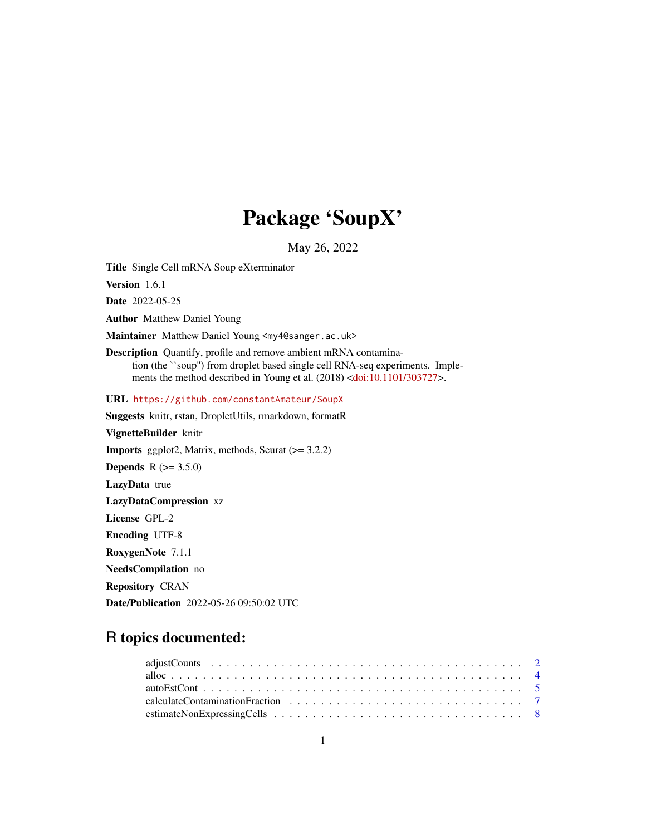# Package 'SoupX'

May 26, 2022

<span id="page-0-0"></span>Title Single Cell mRNA Soup eXterminator

Version 1.6.1

Date 2022-05-25

Author Matthew Daniel Young

Maintainer Matthew Daniel Young <my4@sanger.ac.uk>

Description Quantify, profile and remove ambient mRNA contamination (the ``soup'') from droplet based single cell RNA-seq experiments. Implements the method described in Young et al. (2018) [<doi:10.1101/303727>](https://doi.org/10.1101/303727).

URL <https://github.com/constantAmateur/SoupX>

Suggests knitr, rstan, DropletUtils, rmarkdown, formatR VignetteBuilder knitr **Imports** ggplot2, Matrix, methods, Seurat  $(>= 3.2.2)$ **Depends**  $R (= 3.5.0)$ LazyData true LazyDataCompression xz License GPL-2 Encoding UTF-8 RoxygenNote 7.1.1 NeedsCompilation no Repository CRAN Date/Publication 2022-05-26 09:50:02 UTC

# R topics documented: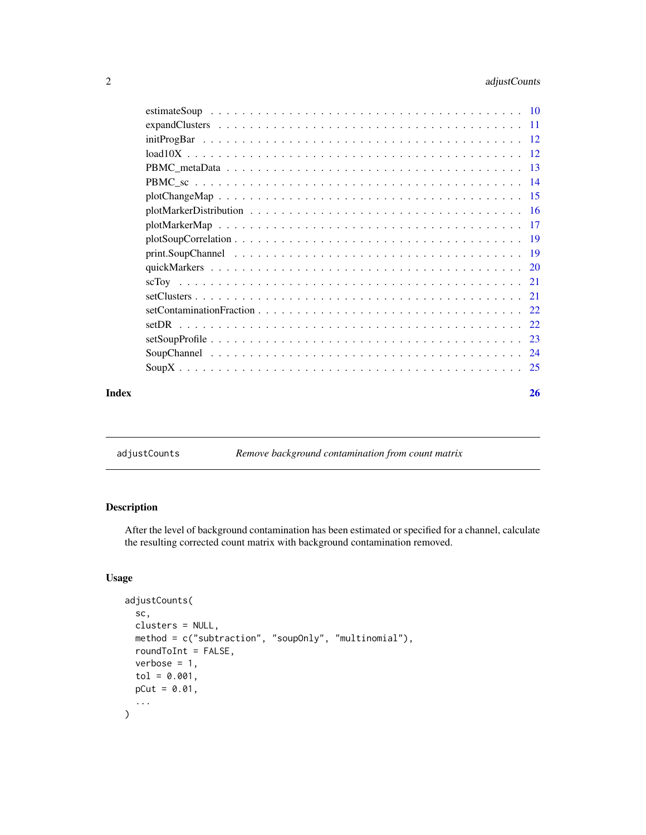<span id="page-1-0"></span>

| Index | <b>26</b> |
|-------|-----------|
|       |           |
|       |           |
|       |           |
|       |           |
|       |           |
|       |           |
|       |           |
|       |           |
|       |           |
|       |           |
|       |           |
|       |           |
|       |           |
|       |           |
|       |           |
|       |           |
|       |           |
|       |           |
|       |           |

<span id="page-1-1"></span>adjustCounts *Remove background contamination from count matrix*

# Description

After the level of background contamination has been estimated or specified for a channel, calculate the resulting corrected count matrix with background contamination removed.

# Usage

```
adjustCounts(
  sc,
  clusters = NULL,
 method = c("subtraction", "soupOnly", "multinomial"),
  roundToInt = FALSE,
 verbose = 1,
  tol = 0.001,
 pCut = 0.01,
  ...
\mathcal{L}
```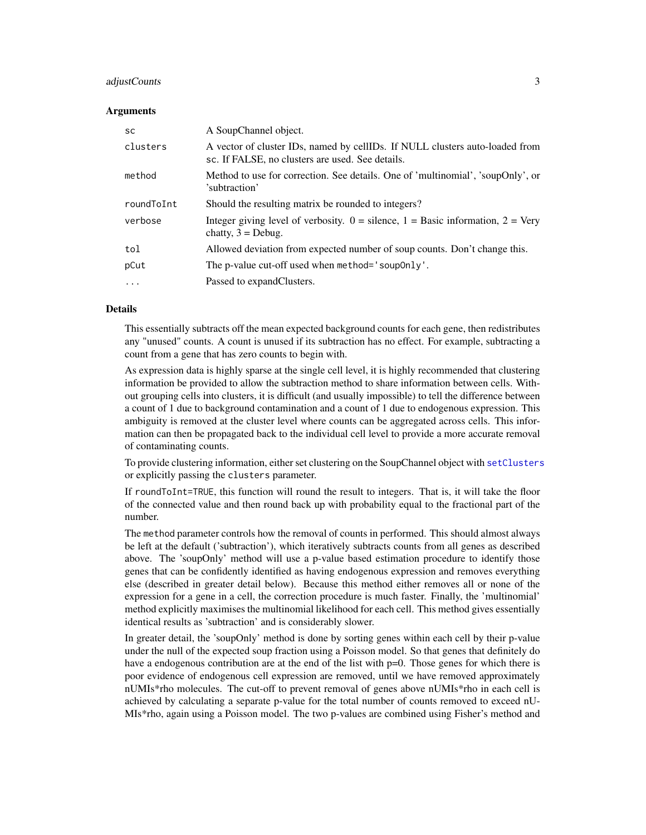# <span id="page-2-0"></span>adjustCounts 3

#### Arguments

| <b>SC</b>  | A SoupChannel object.                                                                                                            |  |
|------------|----------------------------------------------------------------------------------------------------------------------------------|--|
| clusters   | A vector of cluster IDs, named by cellIDs. If NULL clusters auto-loaded from<br>sc. If FALSE, no clusters are used. See details. |  |
| method     | Method to use for correction. See details. One of 'multinomial', 'soupOnly', or<br>'subtraction'                                 |  |
| roundToInt | Should the resulting matrix be rounded to integers?                                                                              |  |
| verbose    | Integer giving level of verbosity. $0 =$ silence, $1 =$ Basic information, $2 =$ Very<br>chatty, $3 =$ Debug.                    |  |
| tol        | Allowed deviation from expected number of soup counts. Don't change this.                                                        |  |
| pCut       | The p-value cut-off used when method='soup0nly'.                                                                                 |  |
| $\ddotsc$  | Passed to expandClusters.                                                                                                        |  |

#### Details

This essentially subtracts off the mean expected background counts for each gene, then redistributes any "unused" counts. A count is unused if its subtraction has no effect. For example, subtracting a count from a gene that has zero counts to begin with.

As expression data is highly sparse at the single cell level, it is highly recommended that clustering information be provided to allow the subtraction method to share information between cells. Without grouping cells into clusters, it is difficult (and usually impossible) to tell the difference between a count of 1 due to background contamination and a count of 1 due to endogenous expression. This ambiguity is removed at the cluster level where counts can be aggregated across cells. This information can then be propagated back to the individual cell level to provide a more accurate removal of contaminating counts.

To provide clustering information, either set clustering on the SoupChannel object with [setClusters](#page-20-1) or explicitly passing the clusters parameter.

If roundToInt=TRUE, this function will round the result to integers. That is, it will take the floor of the connected value and then round back up with probability equal to the fractional part of the number.

The method parameter controls how the removal of counts in performed. This should almost always be left at the default ('subtraction'), which iteratively subtracts counts from all genes as described above. The 'soupOnly' method will use a p-value based estimation procedure to identify those genes that can be confidently identified as having endogenous expression and removes everything else (described in greater detail below). Because this method either removes all or none of the expression for a gene in a cell, the correction procedure is much faster. Finally, the 'multinomial' method explicitly maximises the multinomial likelihood for each cell. This method gives essentially identical results as 'subtraction' and is considerably slower.

In greater detail, the 'soupOnly' method is done by sorting genes within each cell by their p-value under the null of the expected soup fraction using a Poisson model. So that genes that definitely do have a endogenous contribution are at the end of the list with  $p=0$ . Those genes for which there is poor evidence of endogenous cell expression are removed, until we have removed approximately nUMIs\*rho molecules. The cut-off to prevent removal of genes above nUMIs\*rho in each cell is achieved by calculating a separate p-value for the total number of counts removed to exceed nU-MIs\*rho, again using a Poisson model. The two p-values are combined using Fisher's method and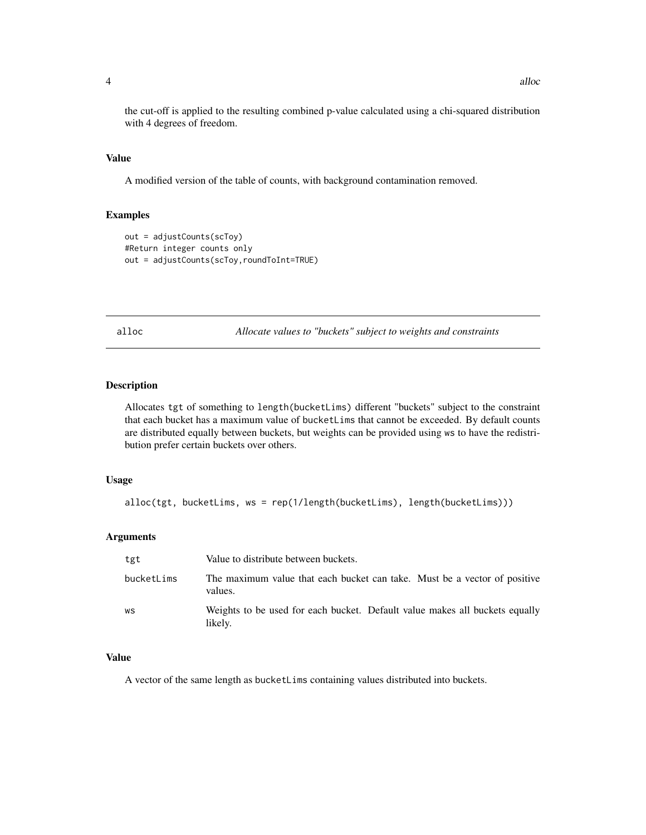the cut-off is applied to the resulting combined p-value calculated using a chi-squared distribution with 4 degrees of freedom.

#### Value

A modified version of the table of counts, with background contamination removed.

# Examples

```
out = adjustCounts(scToy)
#Return integer counts only
out = adjustCounts(scToy,roundToInt=TRUE)
```
alloc *Allocate values to "buckets" subject to weights and constraints*

#### Description

Allocates tgt of something to length(bucketLims) different "buckets" subject to the constraint that each bucket has a maximum value of bucketLims that cannot be exceeded. By default counts are distributed equally between buckets, but weights can be provided using ws to have the redistribution prefer certain buckets over others.

#### Usage

```
alloc(tgt, bucketLims, ws = rep(1/length(bucketLims), length(bucketLims)))
```
#### Arguments

| tgt        | Value to distribute between buckets.                                                   |  |
|------------|----------------------------------------------------------------------------------------|--|
| bucketLims | The maximum value that each bucket can take. Must be a vector of positive<br>values.   |  |
| WS         | Weights to be used for each bucket. Default value makes all buckets equally<br>likely. |  |

# Value

A vector of the same length as bucketLims containing values distributed into buckets.

<span id="page-3-0"></span>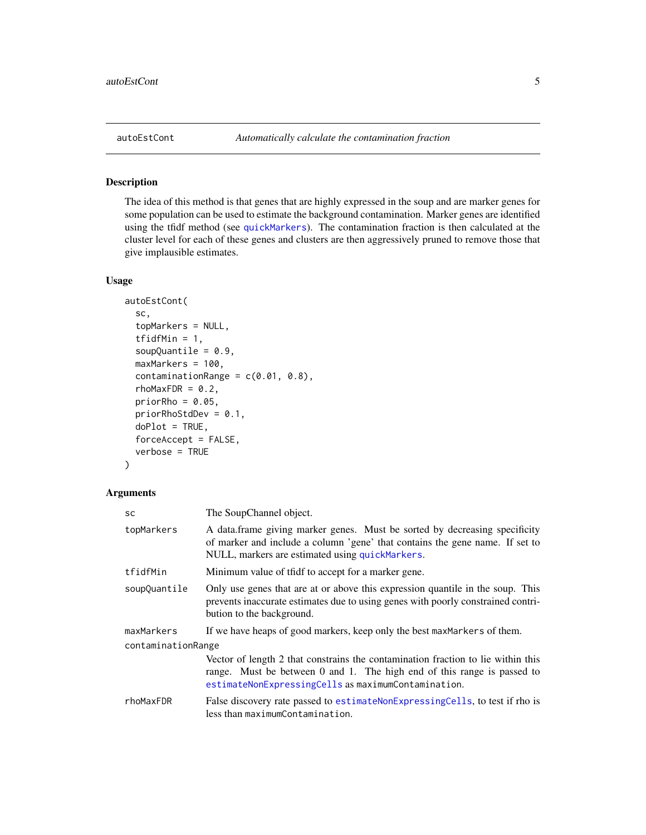<span id="page-4-0"></span>

#### Description

The idea of this method is that genes that are highly expressed in the soup and are marker genes for some population can be used to estimate the background contamination. Marker genes are identified using the tfidf method (see [quickMarkers](#page-19-1)). The contamination fraction is then calculated at the cluster level for each of these genes and clusters are then aggressively pruned to remove those that give implausible estimates.

#### Usage

```
autoEstCont(
  sc,
  topMarkers = NULL,
  tfidfMin = 1,
  soupQuantile = 0.9,
  maxMarkers = 100,
  contaminationRange = c(0.01, 0.8),
  rhomaxFDR = 0.2,priorRho = 0.05,
  priorRhoStdDev = 0.1,
  doPlot = TRUE,forceAccept = FALSE,
  verbose = TRUE
)
```
# Arguments

| <b>SC</b>          | The SoupChannel object.                                                                                                                                                                                            |  |
|--------------------|--------------------------------------------------------------------------------------------------------------------------------------------------------------------------------------------------------------------|--|
| topMarkers         | A data frame giving marker genes. Must be sorted by decreasing specificity<br>of marker and include a column 'gene' that contains the gene name. If set to<br>NULL, markers are estimated using quickMarkers.      |  |
| tfidfMin           | Minimum value of tfidf to accept for a marker gene.                                                                                                                                                                |  |
| soupQuantile       | Only use genes that are at or above this expression quantile in the soup. This<br>prevents inaccurate estimates due to using genes with poorly constrained contri-<br>bution to the background.                    |  |
| maxMarkers         | If we have heaps of good markers, keep only the best maxMarkers of them.                                                                                                                                           |  |
| contaminationRange |                                                                                                                                                                                                                    |  |
|                    | Vector of length 2 that constrains the contamination fraction to lie within this<br>range. Must be between 0 and 1. The high end of this range is passed to<br>estimateNonExpressingCells as maximumContamination. |  |
| rhoMaxFDR          | False discovery rate passed to estimate NonExpressing Cells, to test if rho is<br>less than maximumContamination.                                                                                                  |  |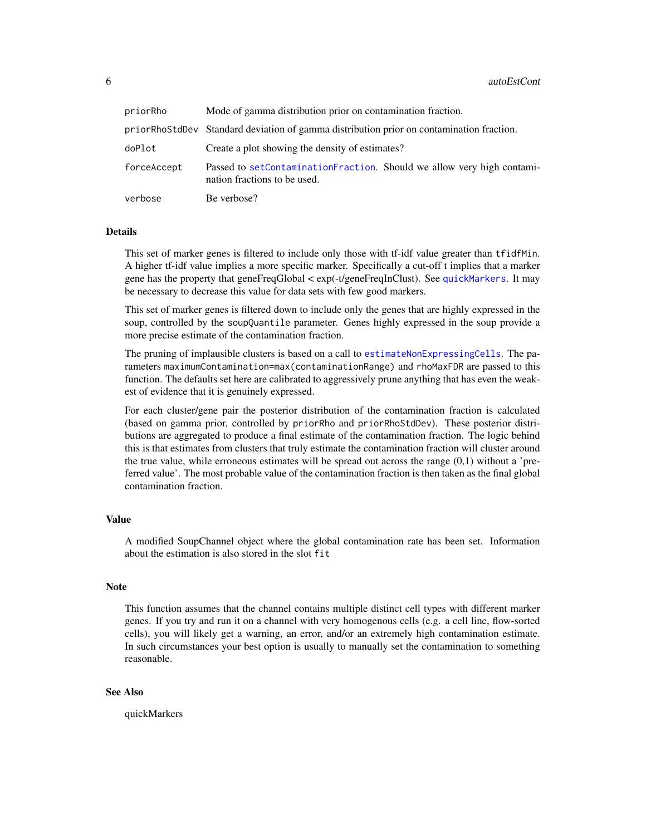<span id="page-5-0"></span>

| priorRho    | Mode of gamma distribution prior on contamination fraction.                                            |  |
|-------------|--------------------------------------------------------------------------------------------------------|--|
|             | priorRhoStdDev Standard deviation of gamma distribution prior on contamination fraction.               |  |
| doPlot      | Create a plot showing the density of estimates?                                                        |  |
| forceAccept | Passed to setContaminationFraction. Should we allow very high contami-<br>nation fractions to be used. |  |
| verbose     | Be verbose?                                                                                            |  |

# Details

This set of marker genes is filtered to include only those with tf-idf value greater than tfidfMin. A higher tf-idf value implies a more specific marker. Specifically a cut-off t implies that a marker gene has the property that geneFreqGlobal < exp(-t/geneFreqInClust). See [quickMarkers](#page-19-1). It may be necessary to decrease this value for data sets with few good markers.

This set of marker genes is filtered down to include only the genes that are highly expressed in the soup, controlled by the soupQuantile parameter. Genes highly expressed in the soup provide a more precise estimate of the contamination fraction.

The pruning of implausible clusters is based on a call to [estimateNonExpressingCells](#page-7-1). The parameters maximumContamination=max(contaminationRange) and rhoMaxFDR are passed to this function. The defaults set here are calibrated to aggressively prune anything that has even the weakest of evidence that it is genuinely expressed.

For each cluster/gene pair the posterior distribution of the contamination fraction is calculated (based on gamma prior, controlled by priorRho and priorRhoStdDev). These posterior distributions are aggregated to produce a final estimate of the contamination fraction. The logic behind this is that estimates from clusters that truly estimate the contamination fraction will cluster around the true value, while erroneous estimates will be spread out across the range  $(0,1)$  without a 'preferred value'. The most probable value of the contamination fraction is then taken as the final global contamination fraction.

# Value

A modified SoupChannel object where the global contamination rate has been set. Information about the estimation is also stored in the slot fit

#### Note

This function assumes that the channel contains multiple distinct cell types with different marker genes. If you try and run it on a channel with very homogenous cells (e.g. a cell line, flow-sorted cells), you will likely get a warning, an error, and/or an extremely high contamination estimate. In such circumstances your best option is usually to manually set the contamination to something reasonable.

#### See Also

quickMarkers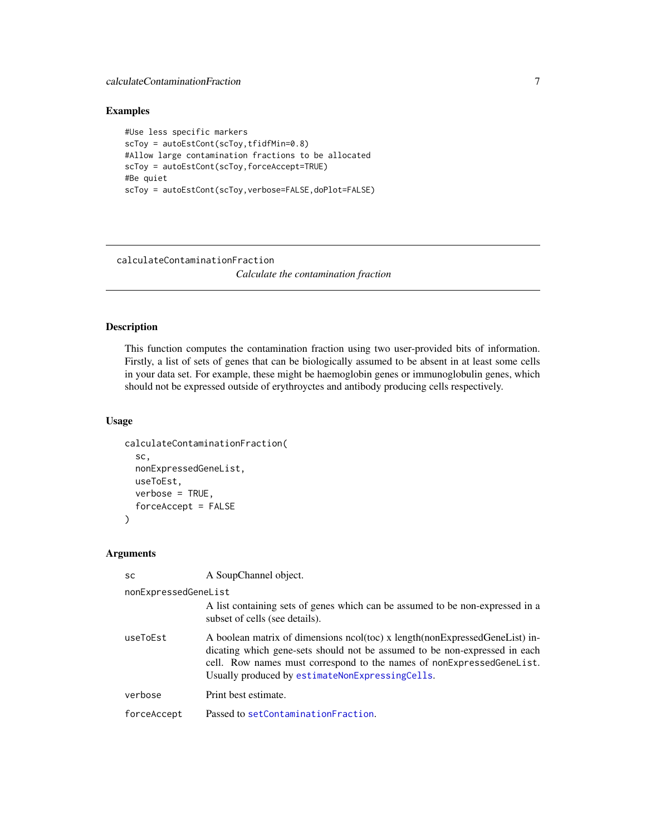<span id="page-6-0"></span>calculateContaminationFraction 7

#### Examples

```
#Use less specific markers
scToy = autoEstCont(scToy,tfidfMin=0.8)
#Allow large contamination fractions to be allocated
scToy = autoEstCont(scToy,forceAccept=TRUE)
#Be quiet
scToy = autoEstCont(scToy,verbose=FALSE,doPlot=FALSE)
```
<span id="page-6-1"></span>calculateContaminationFraction *Calculate the contamination fraction*

# Description

This function computes the contamination fraction using two user-provided bits of information. Firstly, a list of sets of genes that can be biologically assumed to be absent in at least some cells in your data set. For example, these might be haemoglobin genes or immunoglobulin genes, which should not be expressed outside of erythroyctes and antibody producing cells respectively.

# Usage

```
calculateContaminationFraction(
  sc,
  nonExpressedGeneList,
  useToEst,
  verbose = TRUE,
  forceAccept = FALSE
)
```
#### Arguments

A SoupChannel object.

| nonExpressedGeneList |                                                                                                                                                                                                                                                                                       |  |
|----------------------|---------------------------------------------------------------------------------------------------------------------------------------------------------------------------------------------------------------------------------------------------------------------------------------|--|
|                      | A list containing sets of genes which can be assumed to be non-expressed in a<br>subset of cells (see details).                                                                                                                                                                       |  |
| useToEst             | A boolean matrix of dimensions ncol(toc) x length(nonExpressedGeneList) in-<br>dicating which gene-sets should not be assumed to be non-expressed in each<br>cell. Row names must correspond to the names of nonExpressedGeneList.<br>Usually produced by estimateNonExpressingCells. |  |
| verbose              | Print best estimate.                                                                                                                                                                                                                                                                  |  |
| forceAccept          | Passed to setContaminationFraction.                                                                                                                                                                                                                                                   |  |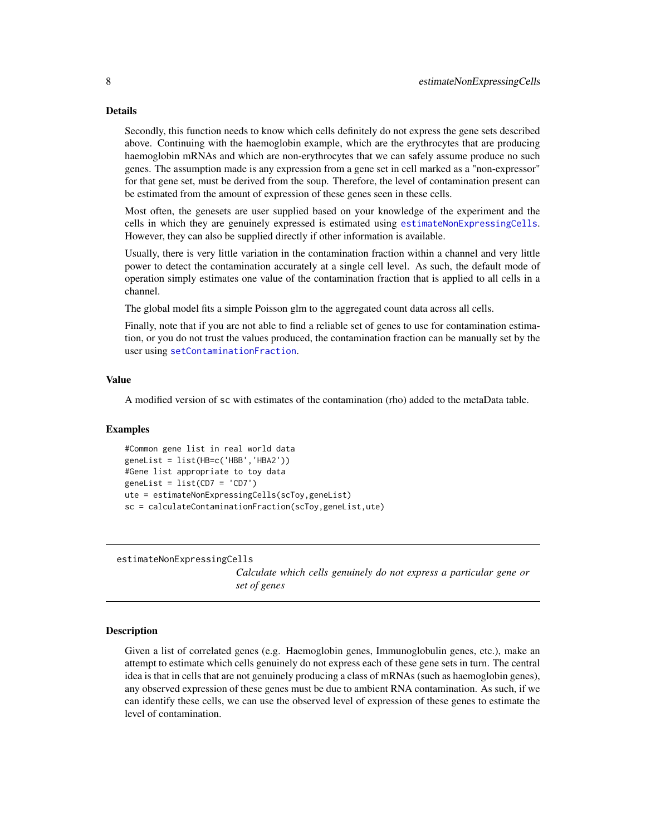#### Details

Secondly, this function needs to know which cells definitely do not express the gene sets described above. Continuing with the haemoglobin example, which are the erythrocytes that are producing haemoglobin mRNAs and which are non-erythrocytes that we can safely assume produce no such genes. The assumption made is any expression from a gene set in cell marked as a "non-expressor" for that gene set, must be derived from the soup. Therefore, the level of contamination present can be estimated from the amount of expression of these genes seen in these cells.

Most often, the genesets are user supplied based on your knowledge of the experiment and the cells in which they are genuinely expressed is estimated using [estimateNonExpressingCells](#page-7-1). However, they can also be supplied directly if other information is available.

Usually, there is very little variation in the contamination fraction within a channel and very little power to detect the contamination accurately at a single cell level. As such, the default mode of operation simply estimates one value of the contamination fraction that is applied to all cells in a channel.

The global model fits a simple Poisson glm to the aggregated count data across all cells.

Finally, note that if you are not able to find a reliable set of genes to use for contamination estimation, or you do not trust the values produced, the contamination fraction can be manually set by the user using [setContaminationFraction](#page-21-1).

#### Value

A modified version of sc with estimates of the contamination (rho) added to the metaData table.

#### Examples

```
#Common gene list in real world data
geneList = list(HB=c('HBB','HBA2'))
#Gene list appropriate to toy data
genelist = list(CD7 = 'CD7')ute = estimateNonExpressingCells(scToy,geneList)
sc = calculateContaminationFraction(scToy,geneList,ute)
```
<span id="page-7-1"></span>estimateNonExpressingCells

*Calculate which cells genuinely do not express a particular gene or set of genes*

#### Description

Given a list of correlated genes (e.g. Haemoglobin genes, Immunoglobulin genes, etc.), make an attempt to estimate which cells genuinely do not express each of these gene sets in turn. The central idea is that in cells that are not genuinely producing a class of mRNAs (such as haemoglobin genes), any observed expression of these genes must be due to ambient RNA contamination. As such, if we can identify these cells, we can use the observed level of expression of these genes to estimate the level of contamination.

<span id="page-7-0"></span>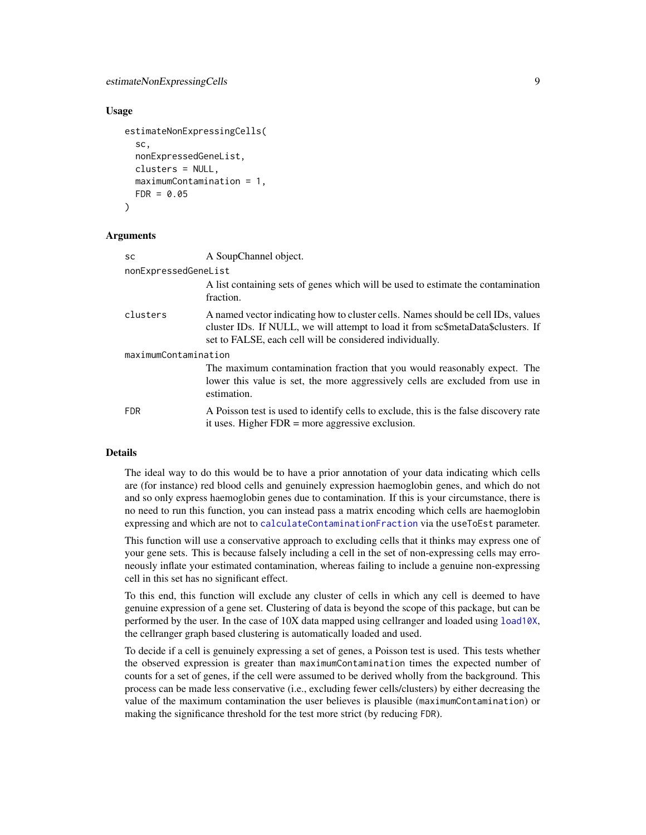# <span id="page-8-0"></span>estimateNonExpressingCells 9

#### Usage

```
estimateNonExpressingCells(
  sc,
  nonExpressedGeneList,
  clusters = NULL,
 maximumContamination = 1,
  FDR = 0.05)
```
#### Arguments

| <b>SC</b>            | A SoupChannel object.                                                                                                                                                                                                            |  |
|----------------------|----------------------------------------------------------------------------------------------------------------------------------------------------------------------------------------------------------------------------------|--|
| nonExpressedGeneList |                                                                                                                                                                                                                                  |  |
|                      | A list containing sets of genes which will be used to estimate the contamination<br>fraction.                                                                                                                                    |  |
| clusters             | A named vector indicating how to cluster cells. Names should be cell IDs, values<br>cluster IDs. If NULL, we will attempt to load it from sc\$metaData\$clusters. If<br>set to FALSE, each cell will be considered individually. |  |
| maximumContamination |                                                                                                                                                                                                                                  |  |
|                      | The maximum contamination fraction that you would reasonably expect. The<br>lower this value is set, the more aggressively cells are excluded from use in<br>estimation.                                                         |  |
| <b>FDR</b>           | A Poisson test is used to identify cells to exclude, this is the false discovery rate<br>it uses. Higher $FDR =$ more aggressive exclusion.                                                                                      |  |

# Details

The ideal way to do this would be to have a prior annotation of your data indicating which cells are (for instance) red blood cells and genuinely expression haemoglobin genes, and which do not and so only express haemoglobin genes due to contamination. If this is your circumstance, there is no need to run this function, you can instead pass a matrix encoding which cells are haemoglobin expressing and which are not to [calculateContaminationFraction](#page-6-1) via the useToEst parameter.

This function will use a conservative approach to excluding cells that it thinks may express one of your gene sets. This is because falsely including a cell in the set of non-expressing cells may erroneously inflate your estimated contamination, whereas failing to include a genuine non-expressing cell in this set has no significant effect.

To this end, this function will exclude any cluster of cells in which any cell is deemed to have genuine expression of a gene set. Clustering of data is beyond the scope of this package, but can be performed by the user. In the case of 10X data mapped using cellranger and loaded using [load10X](#page-11-1), the cellranger graph based clustering is automatically loaded and used.

To decide if a cell is genuinely expressing a set of genes, a Poisson test is used. This tests whether the observed expression is greater than maximumContamination times the expected number of counts for a set of genes, if the cell were assumed to be derived wholly from the background. This process can be made less conservative (i.e., excluding fewer cells/clusters) by either decreasing the value of the maximum contamination the user believes is plausible (maximumContamination) or making the significance threshold for the test more strict (by reducing FDR).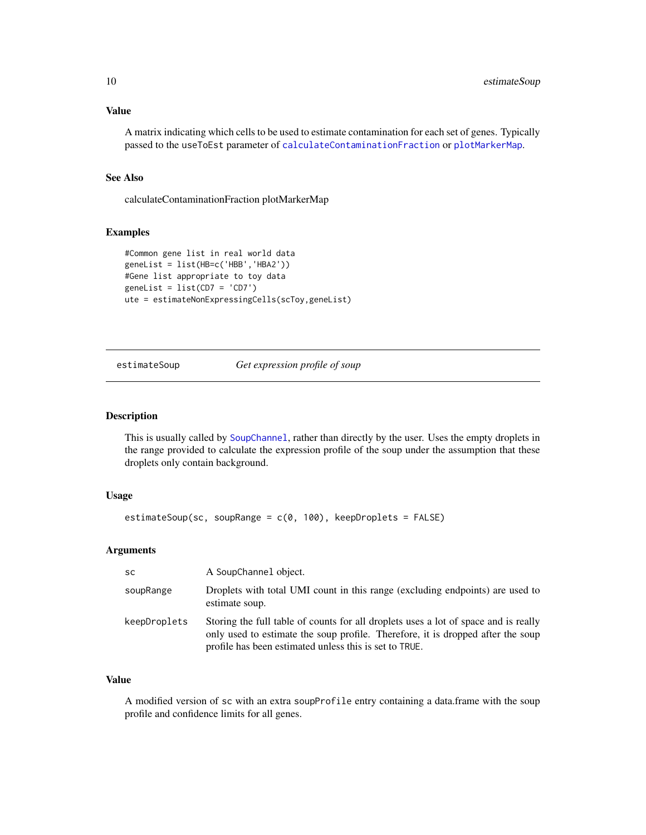#### <span id="page-9-0"></span>Value

A matrix indicating which cells to be used to estimate contamination for each set of genes. Typically passed to the useToEst parameter of [calculateContaminationFraction](#page-6-1) or [plotMarkerMap](#page-16-1).

#### See Also

calculateContaminationFraction plotMarkerMap

# Examples

```
#Common gene list in real world data
geneList = list(HB=c('HBB','HBA2'))
#Gene list appropriate to toy data
genelist = list(CD7 = 'CD7')ute = estimateNonExpressingCells(scToy,geneList)
```
<span id="page-9-1"></span>estimateSoup *Get expression profile of soup*

#### Description

This is usually called by [SoupChannel](#page-23-1), rather than directly by the user. Uses the empty droplets in the range provided to calculate the expression profile of the soup under the assumption that these droplets only contain background.

#### Usage

```
estimateSoup(sc, soupRange = c(0, 100), keepDroplets = FALSE)
```
# Arguments

| <b>SC</b>    | A SoupChannel object.                                                                                                                                                                                                            |
|--------------|----------------------------------------------------------------------------------------------------------------------------------------------------------------------------------------------------------------------------------|
| soupRange    | Droplets with total UMI count in this range (excluding endpoints) are used to<br>estimate soup.                                                                                                                                  |
| keepDroplets | Storing the full table of counts for all droplets uses a lot of space and is really<br>only used to estimate the soup profile. Therefore, it is dropped after the soup<br>profile has been estimated unless this is set to TRUE. |

# Value

A modified version of sc with an extra soupProfile entry containing a data.frame with the soup profile and confidence limits for all genes.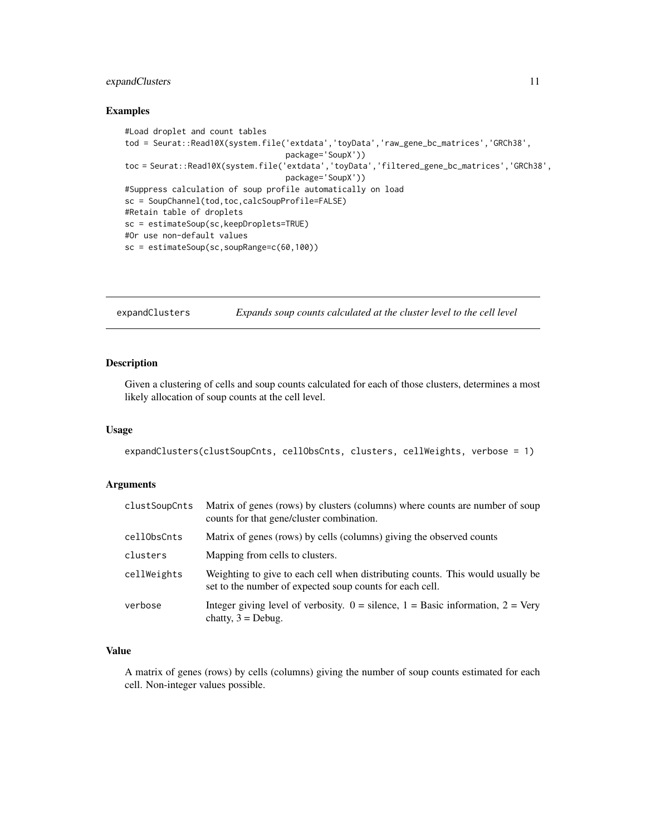# <span id="page-10-0"></span>expandClusters 11

#### Examples

```
#Load droplet and count tables
tod = Seurat::Read10X(system.file('extdata','toyData','raw_gene_bc_matrices','GRCh38',
                                  package='SoupX'))
toc = Seurat::Read10X(system.file('extdata','toyData','filtered_gene_bc_matrices','GRCh38',
                                  package='SoupX'))
#Suppress calculation of soup profile automatically on load
sc = SoupChannel(tod,toc,calcSoupProfile=FALSE)
#Retain table of droplets
sc = estimateSoup(sc,keepDroplets=TRUE)
#Or use non-default values
sc = estimateSoup(sc,soupRange=c(60,100))
```
expandClusters *Expands soup counts calculated at the cluster level to the cell level*

# Description

Given a clustering of cells and soup counts calculated for each of those clusters, determines a most likely allocation of soup counts at the cell level.

# Usage

expandClusters(clustSoupCnts, cellObsCnts, clusters, cellWeights, verbose = 1)

#### Arguments

| clustSoupCnts | Matrix of genes (rows) by clusters (columns) where counts are number of soup<br>counts for that gene/cluster combination.                  |
|---------------|--------------------------------------------------------------------------------------------------------------------------------------------|
| cellObsCnts   | Matrix of genes (rows) by cells (columns) giving the observed counts                                                                       |
| clusters      | Mapping from cells to clusters.                                                                                                            |
| cellWeights   | Weighting to give to each cell when distributing counts. This would usually be<br>set to the number of expected soup counts for each cell. |
| verbose       | Integer giving level of verbosity. $0 =$ silence, $1 =$ Basic information, $2 =$ Very<br>chatty, $3 = Debug$ .                             |

# Value

A matrix of genes (rows) by cells (columns) giving the number of soup counts estimated for each cell. Non-integer values possible.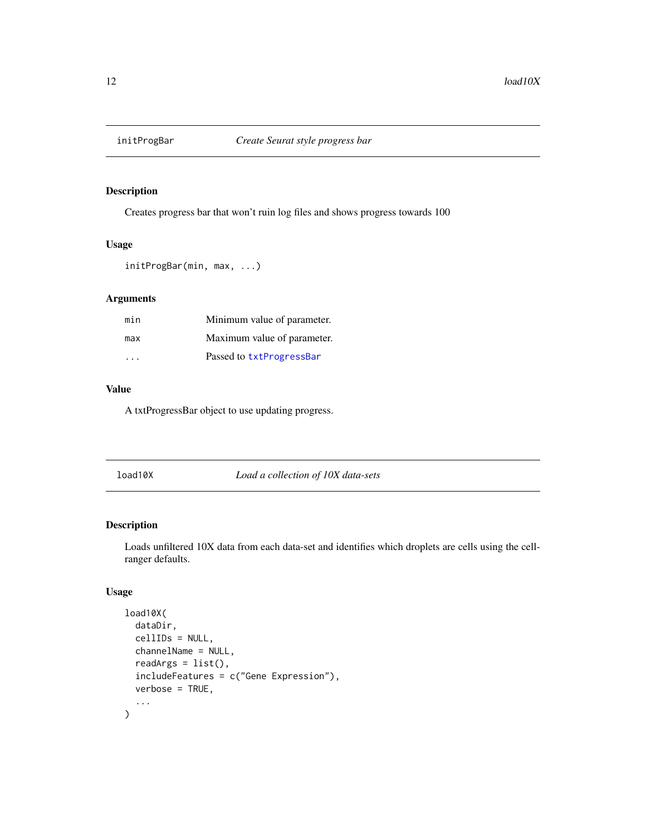<span id="page-11-0"></span>

# Description

Creates progress bar that won't ruin log files and shows progress towards 100

# Usage

```
initProgBar(min, max, ...)
```
# Arguments

| min | Minimum value of parameter. |
|-----|-----------------------------|
| max | Maximum value of parameter. |
| .   | Passed to txtProgressBar    |

# Value

A txtProgressBar object to use updating progress.

<span id="page-11-1"></span>load10X *Load a collection of 10X data-sets*

#### Description

Loads unfiltered 10X data from each data-set and identifies which droplets are cells using the cellranger defaults.

# Usage

```
load10X(
  dataDir,
  cellIDs = NULL,
  channelName = NULL,
  readArgs = list(),
  includeFeatures = c("Gene Expression"),
  verbose = TRUE,
  ...
\mathcal{L}
```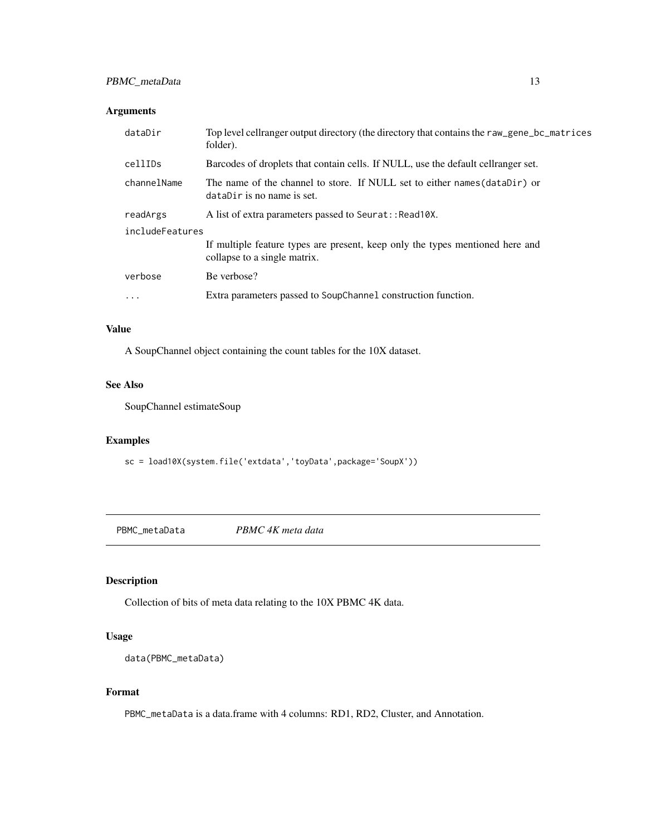# <span id="page-12-0"></span>PBMC\_metaData 13

# Arguments

| dataDir         | Top level cellranger output directory (the directory that contains the raw_gene_bc_matrices<br>folder).       |  |
|-----------------|---------------------------------------------------------------------------------------------------------------|--|
| cellIDs         | Barcodes of droplets that contain cells. If NULL, use the default cellranger set.                             |  |
| channelName     | The name of the channel to store. If NULL set to either names (dataDir) or<br>dataDir is no name is set.      |  |
| readArgs        | A list of extra parameters passed to Seurat:: Read 10X.                                                       |  |
| includeFeatures |                                                                                                               |  |
|                 | If multiple feature types are present, keep only the types mentioned here and<br>collapse to a single matrix. |  |
| verbose         | Be verbose?                                                                                                   |  |
| .               | Extra parameters passed to SoupChannel construction function.                                                 |  |
|                 |                                                                                                               |  |

# Value

A SoupChannel object containing the count tables for the 10X dataset.

#### See Also

SoupChannel estimateSoup

# Examples

sc = load10X(system.file('extdata','toyData',package='SoupX'))

PBMC\_metaData *PBMC 4K meta data*

# Description

Collection of bits of meta data relating to the 10X PBMC 4K data.

#### Usage

```
data(PBMC_metaData)
```
# Format

PBMC\_metaData is a data.frame with 4 columns: RD1, RD2, Cluster, and Annotation.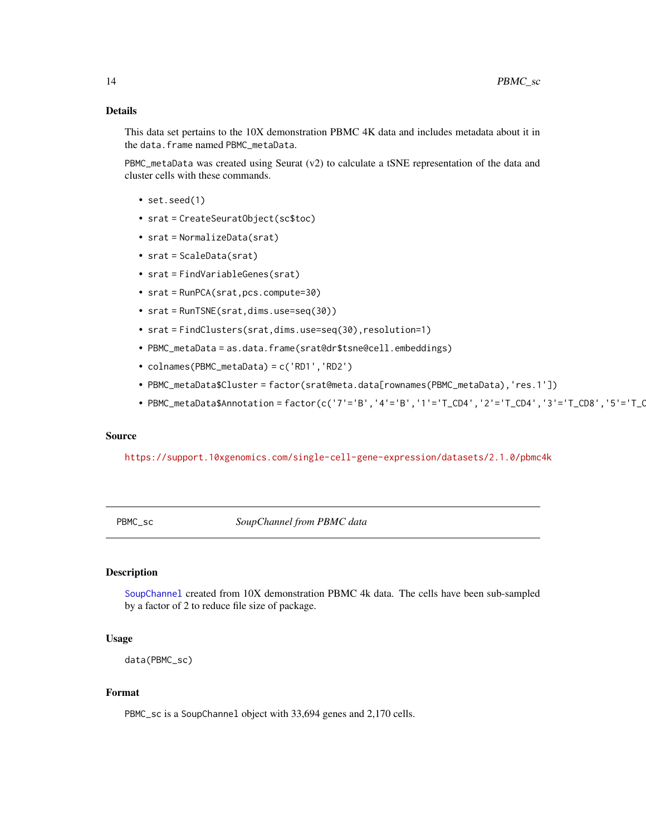# <span id="page-13-0"></span>Details

This data set pertains to the 10X demonstration PBMC 4K data and includes metadata about it in the data.frame named PBMC\_metaData.

PBMC\_metaData was created using Seurat  $(v2)$  to calculate a tSNE representation of the data and cluster cells with these commands.

- set.seed(1)
- srat = CreateSeuratObject(sc\$toc)
- srat = NormalizeData(srat)
- srat = ScaleData(srat)
- srat = FindVariableGenes(srat)
- srat = RunPCA(srat,pcs.compute=30)
- srat = RunTSNE(srat,dims.use=seq(30))
- srat = FindClusters(srat,dims.use=seq(30),resolution=1)
- PBMC\_metaData = as.data.frame(srat@dr\$tsne@cell.embeddings)
- colnames(PBMC\_metaData) = c('RD1','RD2')
- PBMC\_metaData\$Cluster = factor(srat@meta.data[rownames(PBMC\_metaData),'res.1'])
- PBMC\_metaData\$Annotation = factor(c('7'='B','4'='B','1'='T\_CD4','2'='T\_CD4','3'='T\_CD8','5'='T\_C

#### Source

<https://support.10xgenomics.com/single-cell-gene-expression/datasets/2.1.0/pbmc4k>

PBMC\_sc *SoupChannel from PBMC data*

# Description

[SoupChannel](#page-23-1) created from 10X demonstration PBMC 4k data. The cells have been sub-sampled by a factor of 2 to reduce file size of package.

### Usage

```
data(PBMC_sc)
```
#### Format

PBMC\_sc is a SoupChannel object with 33,694 genes and 2,170 cells.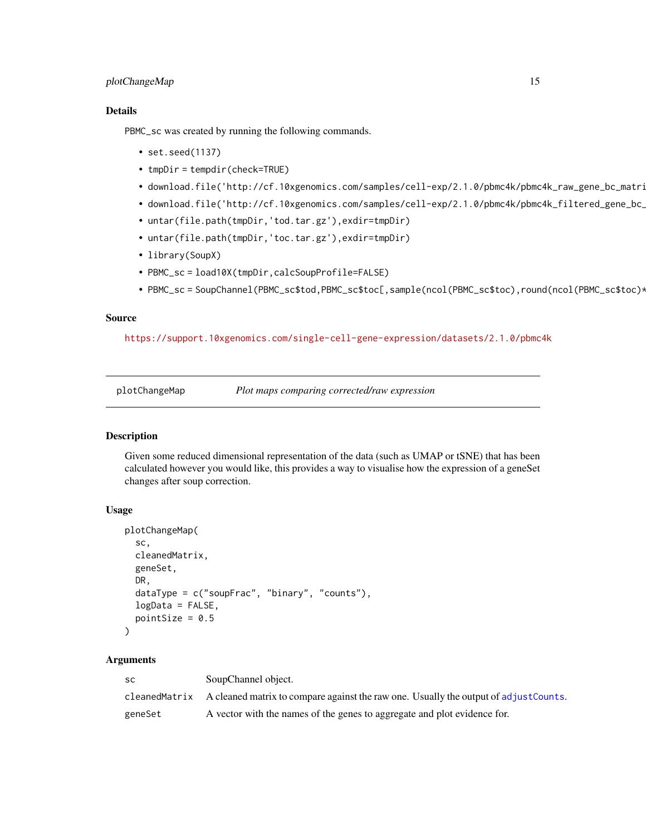# <span id="page-14-0"></span>plotChangeMap 15

# Details

PBMC\_sc was created by running the following commands.

- set.seed(1137)
- tmpDir = tempdir(check=TRUE)
- download.file('http://cf.10xgenomics.com/samples/cell-exp/2.1.0/pbmc4k/pbmc4k\_raw\_gene\_bc\_matri
- download.file('http://cf.10xgenomics.com/samples/cell-exp/2.1.0/pbmc4k/pbmc4k\_filtered\_gene\_bc\_
- untar(file.path(tmpDir,'tod.tar.gz'),exdir=tmpDir)
- untar(file.path(tmpDir,'toc.tar.gz'),exdir=tmpDir)
- library(SoupX)
- PBMC\_sc = load10X(tmpDir,calcSoupProfile=FALSE)
- PBMC\_sc = SoupChannel(PBMC\_sc\$tod,PBMC\_sc\$toc[,sample(ncol(PBMC\_sc\$toc),round(ncol(PBMC\_sc\$toc)\*0.5))])

# Source

#### <https://support.10xgenomics.com/single-cell-gene-expression/datasets/2.1.0/pbmc4k>

plotChangeMap *Plot maps comparing corrected/raw expression*

#### Description

Given some reduced dimensional representation of the data (such as UMAP or tSNE) that has been calculated however you would like, this provides a way to visualise how the expression of a geneSet changes after soup correction.

#### Usage

```
plotChangeMap(
  sc,
 cleanedMatrix,
  geneSet,
 DR,
  dataType = c("soupFrac", "binary", "counts"),
 logData = FALSE,
 pointSize = 0.5)
```
# Arguments

| SC.     | SoupChannel object.                                                                                  |  |
|---------|------------------------------------------------------------------------------------------------------|--|
|         | cleaned Matrix A cleaned matrix to compare against the raw one. Usually the output of adjust Counts. |  |
| geneSet | A vector with the names of the genes to aggregate and plot evidence for.                             |  |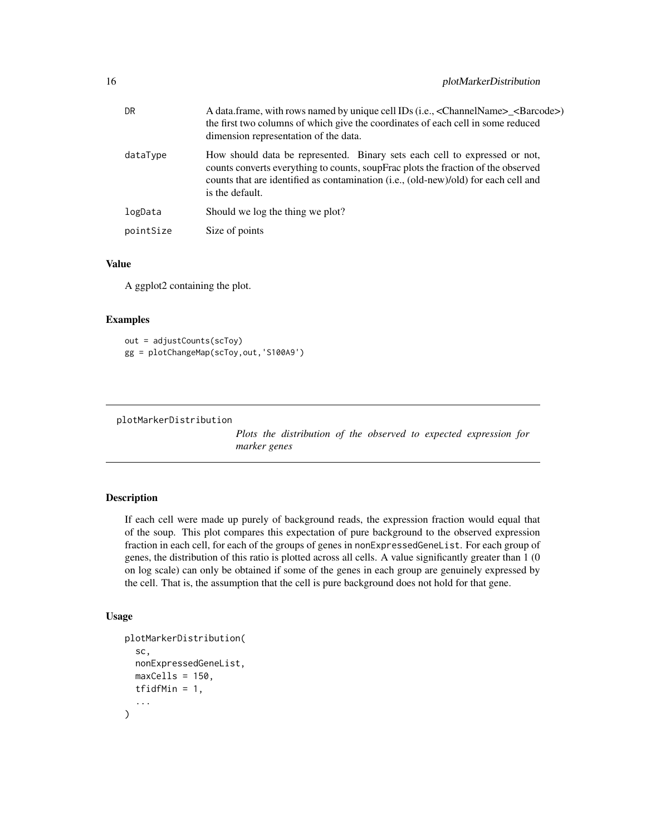<span id="page-15-0"></span>

| DR.       | A data frame, with rows named by unique cell IDs (i.e., <channelname>_<barcode>)<br/>the first two columns of which give the coordinates of each cell in some reduced<br/>dimension representation of the data.</barcode></channelname>                                   |  |
|-----------|---------------------------------------------------------------------------------------------------------------------------------------------------------------------------------------------------------------------------------------------------------------------------|--|
| dataType  | How should data be represented. Binary sets each cell to expressed or not,<br>counts converts everything to counts, soupFrac plots the fraction of the observed<br>counts that are identified as contamination (i.e., (old-new)/old) for each cell and<br>is the default. |  |
| logData   | Should we log the thing we plot?                                                                                                                                                                                                                                          |  |
| pointSize | Size of points                                                                                                                                                                                                                                                            |  |

#### Value

A ggplot2 containing the plot.

## Examples

```
out = adjustCounts(scToy)
gg = plotChangeMap(scToy,out,'S100A9')
```
<span id="page-15-1"></span>plotMarkerDistribution

*Plots the distribution of the observed to expected expression for marker genes*

# Description

If each cell were made up purely of background reads, the expression fraction would equal that of the soup. This plot compares this expectation of pure background to the observed expression fraction in each cell, for each of the groups of genes in nonExpressedGeneList. For each group of genes, the distribution of this ratio is plotted across all cells. A value significantly greater than 1 (0 on log scale) can only be obtained if some of the genes in each group are genuinely expressed by the cell. That is, the assumption that the cell is pure background does not hold for that gene.

#### Usage

```
plotMarkerDistribution(
  sc,
  nonExpressedGeneList,
  maxCells = 150,
  tfidfMin = 1,
  ...
)
```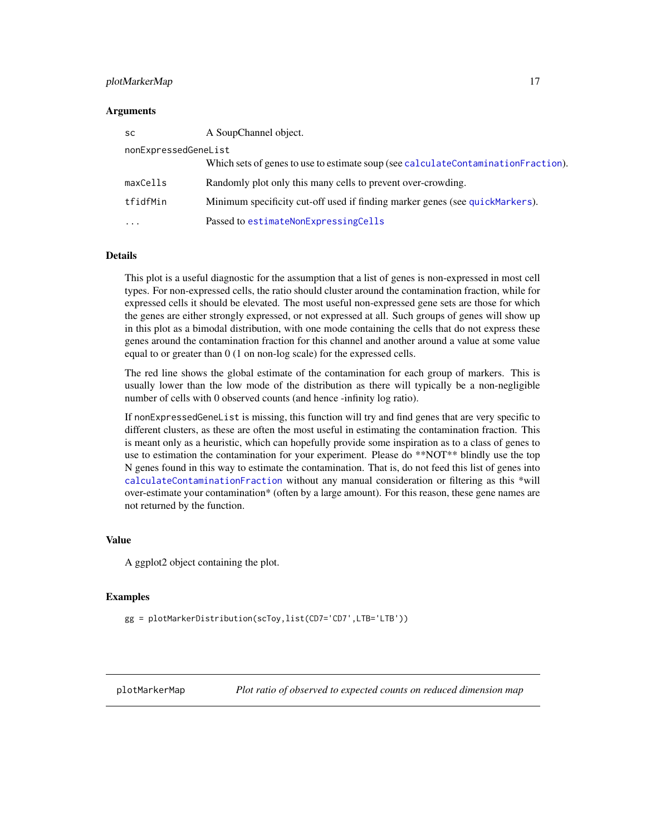#### <span id="page-16-0"></span>plotMarkerMap 17

#### Arguments

| <b>SC</b>            | A SoupChannel object.                                                             |
|----------------------|-----------------------------------------------------------------------------------|
| nonExpressedGeneList |                                                                                   |
|                      | Which sets of genes to use to estimate soup (see calculateContaminationFraction). |
| maxCells             | Randomly plot only this many cells to prevent over-crowding.                      |
| tfidfMin             | Minimum specificity cut-off used if finding marker genes (see quickMarkers).      |
|                      | Passed to estimateNonExpressingCells                                              |

#### Details

This plot is a useful diagnostic for the assumption that a list of genes is non-expressed in most cell types. For non-expressed cells, the ratio should cluster around the contamination fraction, while for expressed cells it should be elevated. The most useful non-expressed gene sets are those for which the genes are either strongly expressed, or not expressed at all. Such groups of genes will show up in this plot as a bimodal distribution, with one mode containing the cells that do not express these genes around the contamination fraction for this channel and another around a value at some value equal to or greater than 0 (1 on non-log scale) for the expressed cells.

The red line shows the global estimate of the contamination for each group of markers. This is usually lower than the low mode of the distribution as there will typically be a non-negligible number of cells with 0 observed counts (and hence -infinity log ratio).

If nonExpressedGeneList is missing, this function will try and find genes that are very specific to different clusters, as these are often the most useful in estimating the contamination fraction. This is meant only as a heuristic, which can hopefully provide some inspiration as to a class of genes to use to estimation the contamination for your experiment. Please do \*\*NOT\*\* blindly use the top N genes found in this way to estimate the contamination. That is, do not feed this list of genes into [calculateContaminationFraction](#page-6-1) without any manual consideration or filtering as this \*will over-estimate your contamination\* (often by a large amount). For this reason, these gene names are not returned by the function.

# Value

A ggplot2 object containing the plot.

#### Examples

gg = plotMarkerDistribution(scToy,list(CD7='CD7',LTB='LTB'))

<span id="page-16-1"></span>plotMarkerMap *Plot ratio of observed to expected counts on reduced dimension map*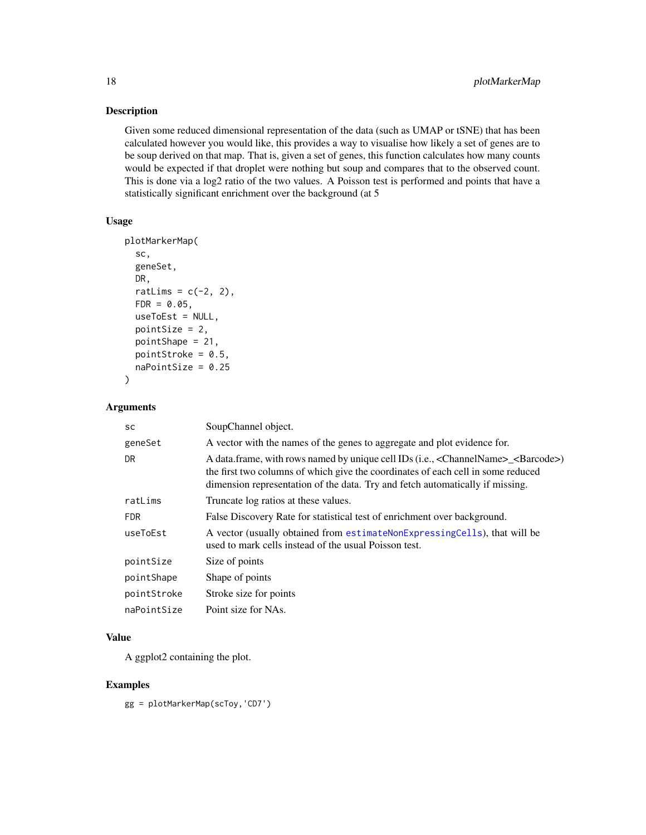# Description

Given some reduced dimensional representation of the data (such as UMAP or tSNE) that has been calculated however you would like, this provides a way to visualise how likely a set of genes are to be soup derived on that map. That is, given a set of genes, this function calculates how many counts would be expected if that droplet were nothing but soup and compares that to the observed count. This is done via a log2 ratio of the two values. A Poisson test is performed and points that have a statistically significant enrichment over the background (at 5

# Usage

```
plotMarkerMap(
  sc,
  geneSet,
 DR,
  ratLims = c(-2, 2),
  FDR = 0.05,
  useToEst = NULL,
  pointSize = 2,
  pointShape = 21,
 pointStroke = 0.5,
  naPointSize = 0.25)
```
# Arguments

| SC          | SoupChannel object.                                                                                                                                                                                                                                                             |  |
|-------------|---------------------------------------------------------------------------------------------------------------------------------------------------------------------------------------------------------------------------------------------------------------------------------|--|
| geneSet     | A vector with the names of the genes to aggregate and plot evidence for.                                                                                                                                                                                                        |  |
| DR          | A data.frame, with rows named by unique cell IDs (i.e., <channelname>_<barcode>)<br/>the first two columns of which give the coordinates of each cell in some reduced<br/>dimension representation of the data. Try and fetch automatically if missing.</barcode></channelname> |  |
| ratLims     | Truncate log ratios at these values.                                                                                                                                                                                                                                            |  |
| <b>FDR</b>  | False Discovery Rate for statistical test of enrichment over background.                                                                                                                                                                                                        |  |
| useToEst    | A vector (usually obtained from estimateNonExpressingCells), that will be<br>used to mark cells instead of the usual Poisson test.                                                                                                                                              |  |
| pointSize   | Size of points                                                                                                                                                                                                                                                                  |  |
| pointShape  | Shape of points                                                                                                                                                                                                                                                                 |  |
| pointStroke | Stroke size for points                                                                                                                                                                                                                                                          |  |
| naPointSize | Point size for NAs.                                                                                                                                                                                                                                                             |  |

#### Value

A ggplot2 containing the plot.

# Examples

gg = plotMarkerMap(scToy,'CD7')

<span id="page-17-0"></span>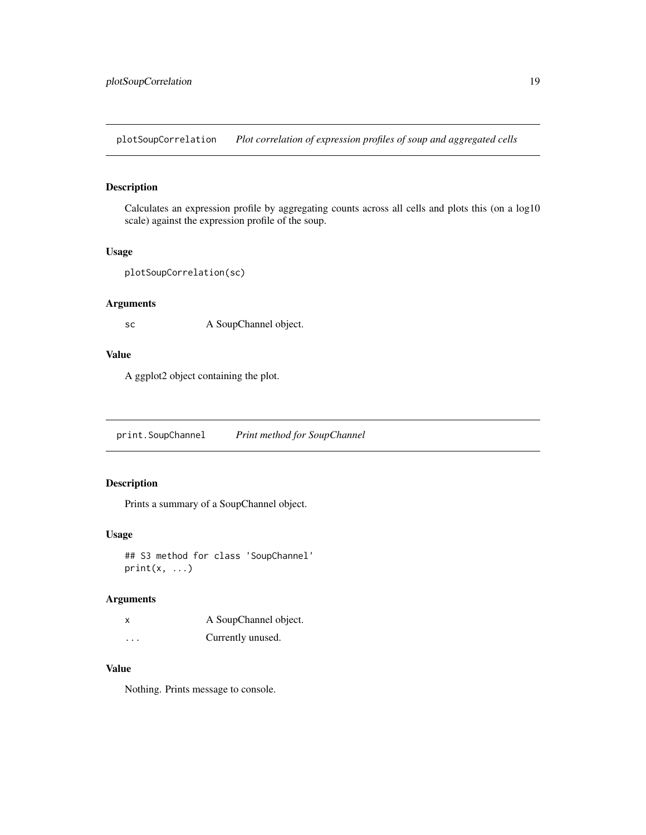<span id="page-18-0"></span>plotSoupCorrelation *Plot correlation of expression profiles of soup and aggregated cells*

# Description

Calculates an expression profile by aggregating counts across all cells and plots this (on a log10 scale) against the expression profile of the soup.

# Usage

```
plotSoupCorrelation(sc)
```
# Arguments

sc A SoupChannel object.

# Value

A ggplot2 object containing the plot.

print.SoupChannel *Print method for SoupChannel*

# Description

Prints a summary of a SoupChannel object.

# Usage

## S3 method for class 'SoupChannel'  $print(x, \ldots)$ 

#### Arguments

|   | A SoupChannel object. |
|---|-----------------------|
| . | Currently unused.     |

# Value

Nothing. Prints message to console.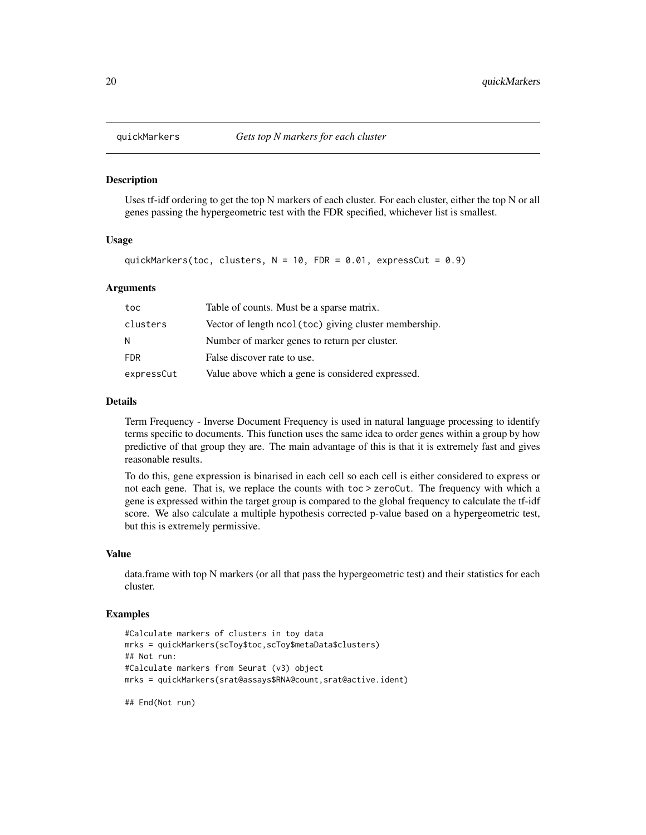#### **Description**

Uses tf-idf ordering to get the top N markers of each cluster. For each cluster, either the top N or all genes passing the hypergeometric test with the FDR specified, whichever list is smallest.

#### Usage

```
quickMarkers(toc, clusters, N = 10, FDR = 0.01, expressCut = 0.9)
```
#### **Arguments**

| toc        | Table of counts. Must be a sparse matrix.              |
|------------|--------------------------------------------------------|
| clusters   | Vector of length ncol (toc) giving cluster membership. |
| N          | Number of marker genes to return per cluster.          |
| <b>FDR</b> | False discover rate to use.                            |
| expressCut | Value above which a gene is considered expressed.      |

# Details

Term Frequency - Inverse Document Frequency is used in natural language processing to identify terms specific to documents. This function uses the same idea to order genes within a group by how predictive of that group they are. The main advantage of this is that it is extremely fast and gives reasonable results.

To do this, gene expression is binarised in each cell so each cell is either considered to express or not each gene. That is, we replace the counts with toc > zeroCut. The frequency with which a gene is expressed within the target group is compared to the global frequency to calculate the tf-idf score. We also calculate a multiple hypothesis corrected p-value based on a hypergeometric test, but this is extremely permissive.

#### Value

data.frame with top N markers (or all that pass the hypergeometric test) and their statistics for each cluster.

# Examples

```
#Calculate markers of clusters in toy data
mrks = quickMarkers(scToy$toc,scToy$metaData$clusters)
## Not run:
#Calculate markers from Seurat (v3) object
mrks = quickMarkers(srat@assays$RNA@count,srat@active.ident)
```
## End(Not run)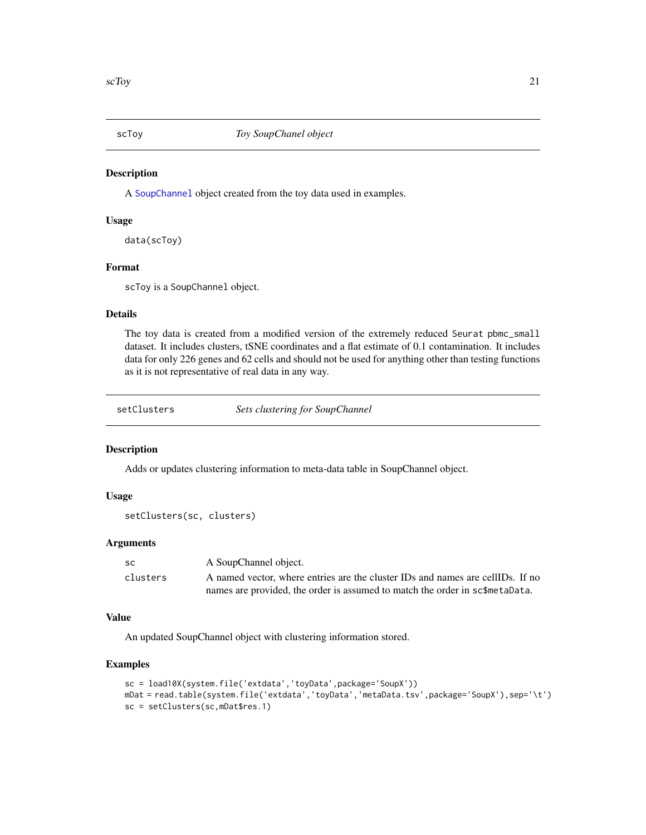<span id="page-20-0"></span>

# Description

A [SoupChannel](#page-23-1) object created from the toy data used in examples.

# Usage

data(scToy)

# Format

scToy is a SoupChannel object.

## Details

The toy data is created from a modified version of the extremely reduced Seurat pbmc\_small dataset. It includes clusters, tSNE coordinates and a flat estimate of 0.1 contamination. It includes data for only 226 genes and 62 cells and should not be used for anything other than testing functions as it is not representative of real data in any way.

<span id="page-20-1"></span>setClusters *Sets clustering for SoupChannel*

#### Description

Adds or updates clustering information to meta-data table in SoupChannel object.

## Usage

```
setClusters(sc, clusters)
```
#### Arguments

| SC.      | A SoupChannel object.                                                          |  |
|----------|--------------------------------------------------------------------------------|--|
| clusters | A named vector, where entries are the cluster IDs and names are cellIDs. If no |  |
|          | names are provided, the order is assumed to match the order in sc\$metaData.   |  |

#### Value

An updated SoupChannel object with clustering information stored.

#### Examples

```
sc = load10X(system.file('extdata','toyData',package='SoupX'))
mDat = read.table(system.file('extdata','toyData','metaData.tsv',package='SoupX'),sep='\t')
sc = setClusters(sc,mDat$res.1)
```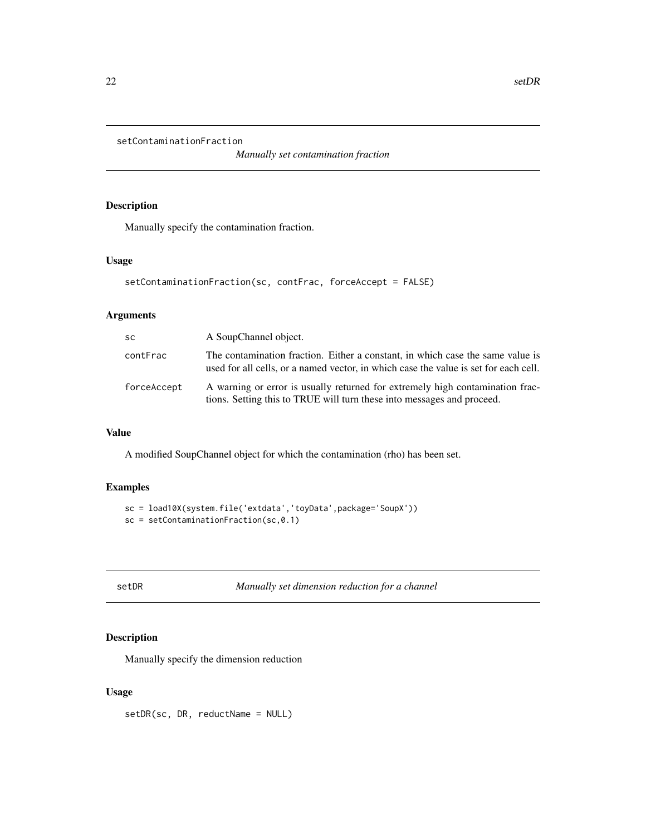```
setContaminationFraction
```
*Manually set contamination fraction*

# Description

Manually specify the contamination fraction.

# Usage

```
setContaminationFraction(sc, contFrac, forceAccept = FALSE)
```
# Arguments

| <b>SC</b>   | A SoupChannel object.                                                                                                                                                  |  |
|-------------|------------------------------------------------------------------------------------------------------------------------------------------------------------------------|--|
| contFrac    | The contamination fraction. Either a constant, in which case the same value is<br>used for all cells, or a named vector, in which case the value is set for each cell. |  |
| forceAccept | A warning or error is usually returned for extremely high contamination frac-<br>tions. Setting this to TRUE will turn these into messages and proceed.                |  |

# Value

A modified SoupChannel object for which the contamination (rho) has been set.

# Examples

```
sc = load10X(system.file('extdata','toyData',package='SoupX'))
sc = setContainerionFraction(sc, \theta.1)
```

| M. | I |  |
|----|---|--|
|----|---|--|

R *Manually set dimension reduction for a channel* 

# Description

Manually specify the dimension reduction

## Usage

setDR(sc, DR, reductName = NULL)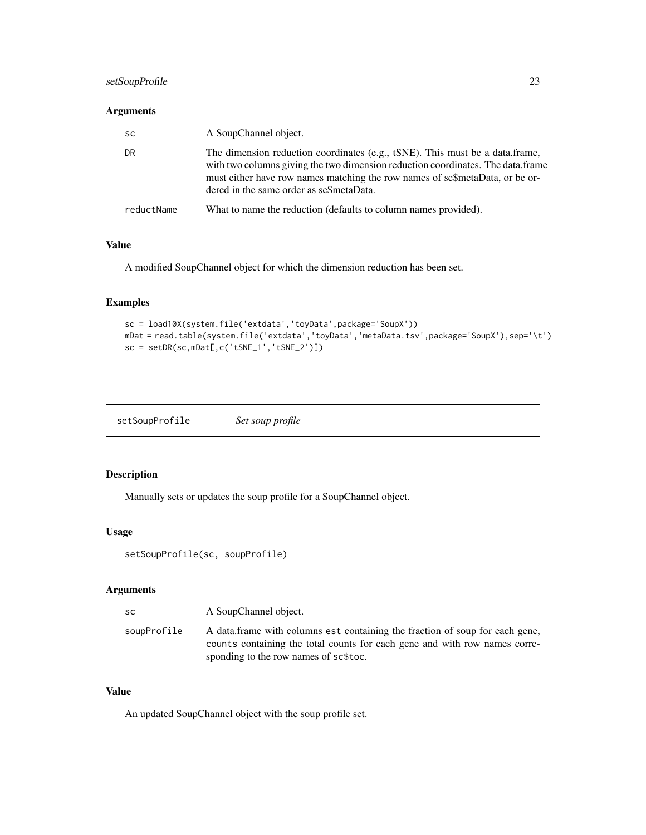# <span id="page-22-0"></span>setSoupProfile 23

# Arguments

| <b>SC</b>  | A SoupChannel object.                                                                                                                                                                                                                                                                       |
|------------|---------------------------------------------------------------------------------------------------------------------------------------------------------------------------------------------------------------------------------------------------------------------------------------------|
| DR         | The dimension reduction coordinates (e.g., tSNE). This must be a data.frame,<br>with two columns giving the two dimension reduction coordinates. The data frame<br>must either have row names matching the row names of sc\$metaData, or be or-<br>dered in the same order as sc\$metaData. |
| reductName | What to name the reduction (defaults to column names provided).                                                                                                                                                                                                                             |

# Value

A modified SoupChannel object for which the dimension reduction has been set.

# Examples

```
sc = load10X(system.file('extdata','toyData',package='SoupX'))
mDat = read.table(system.file('extdata','toyData','metaData.tsv',package='SoupX'),sep='\t')
sc = setDR(sc,mDat[,c('tSNE_1','tSNE_2')])
```

| setSoupProfile | Set soup profile |
|----------------|------------------|
|                |                  |

# Description

Manually sets or updates the soup profile for a SoupChannel object.

#### Usage

```
setSoupProfile(sc, soupProfile)
```
# Arguments

| -SC         | A SoupChannel object.                                                                                                                                                                               |
|-------------|-----------------------------------------------------------------------------------------------------------------------------------------------------------------------------------------------------|
| soupProfile | A data frame with columns est containing the fraction of soup for each gene,<br>counts containing the total counts for each gene and with row names corre-<br>sponding to the row names of sc\$toc. |

# Value

An updated SoupChannel object with the soup profile set.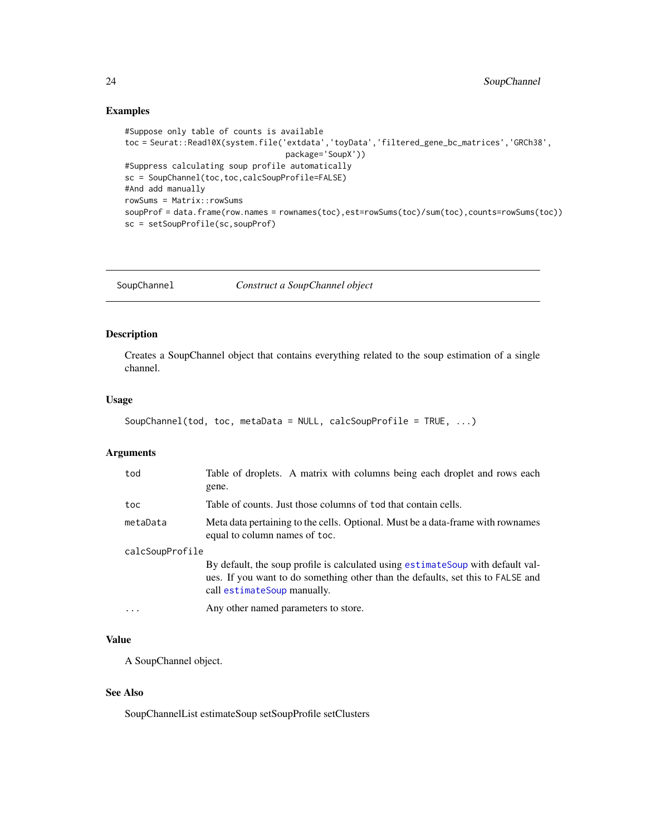# <span id="page-23-0"></span>Examples

```
#Suppose only table of counts is available
toc = Seurat::Read10X(system.file('extdata','toyData','filtered_gene_bc_matrices','GRCh38',
                                  package='SoupX'))
#Suppress calculating soup profile automatically
sc = SoupChannel(toc,toc,calcSoupProfile=FALSE)
#And add manually
rowSums = Matrix::rowSums
soupProf = data.frame(row.names = rownames(toc),est=rowSums(toc)/sum(toc),counts=rowSums(toc))
sc = setSoupProfile(sc,soupProf)
```
<span id="page-23-1"></span>SoupChannel *Construct a SoupChannel object*

# Description

Creates a SoupChannel object that contains everything related to the soup estimation of a single channel.

# Usage

```
SoupChannel(tod, toc, metaData = NULL, calcSoupProfile = TRUE, ...)
```
# Arguments

| tod             | Table of droplets. A matrix with columns being each droplet and rows each<br>gene.                                                                                                                 |
|-----------------|----------------------------------------------------------------------------------------------------------------------------------------------------------------------------------------------------|
| toc             | Table of counts. Just those columns of tod that contain cells.                                                                                                                                     |
| metaData        | Meta data pertaining to the cells. Optional. Must be a data-frame with rownames<br>equal to column names of toc.                                                                                   |
| calcSoupProfile |                                                                                                                                                                                                    |
|                 | By default, the soup profile is calculated using estimate Soup with default val-<br>ues. If you want to do something other than the defaults, set this to FALSE and<br>call estimateSoup manually. |
| $\ddotsc$       | Any other named parameters to store.                                                                                                                                                               |

#### Value

A SoupChannel object.

#### See Also

SoupChannelList estimateSoup setSoupProfile setClusters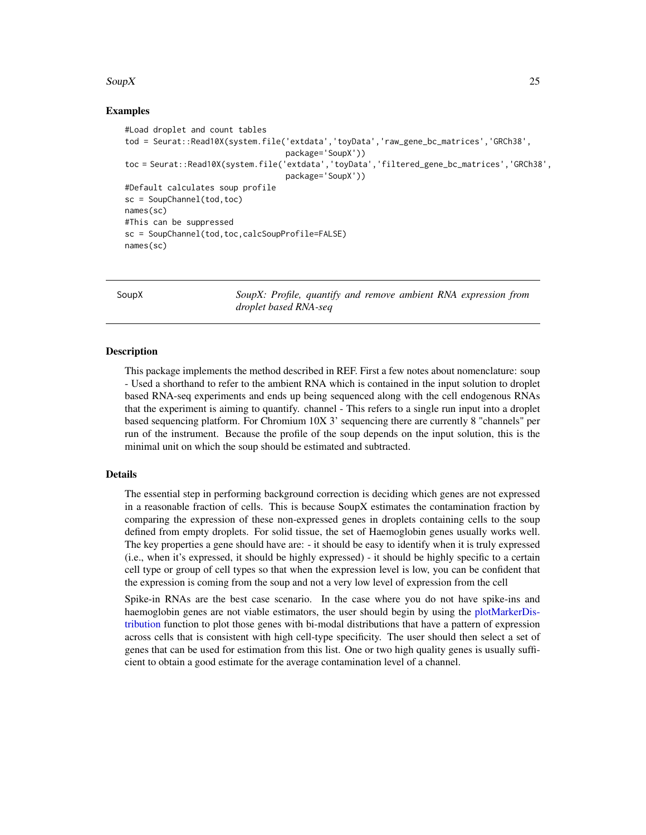#### <span id="page-24-0"></span> $SoupX$  25

# Examples

```
#Load droplet and count tables
tod = Seurat::Read10X(system.file('extdata','toyData','raw_gene_bc_matrices','GRCh38',
                                  package='SoupX'))
toc = Seurat::Read10X(system.file('extdata','toyData','filtered_gene_bc_matrices','GRCh38',
                                  package='SoupX'))
#Default calculates soup profile
sc = SoupChannel(tod,toc)
names(sc)
#This can be suppressed
sc = SoupChannel(tod,toc,calcSoupProfile=FALSE)
names(sc)
```
SoupX *SoupX: Profile, quantify and remove ambient RNA expression from droplet based RNA-seq*

#### **Description**

This package implements the method described in REF. First a few notes about nomenclature: soup - Used a shorthand to refer to the ambient RNA which is contained in the input solution to droplet based RNA-seq experiments and ends up being sequenced along with the cell endogenous RNAs that the experiment is aiming to quantify. channel - This refers to a single run input into a droplet based sequencing platform. For Chromium 10X 3' sequencing there are currently 8 "channels" per run of the instrument. Because the profile of the soup depends on the input solution, this is the minimal unit on which the soup should be estimated and subtracted.

# Details

The essential step in performing background correction is deciding which genes are not expressed in a reasonable fraction of cells. This is because SoupX estimates the contamination fraction by comparing the expression of these non-expressed genes in droplets containing cells to the soup defined from empty droplets. For solid tissue, the set of Haemoglobin genes usually works well. The key properties a gene should have are: - it should be easy to identify when it is truly expressed (i.e., when it's expressed, it should be highly expressed) - it should be highly specific to a certain cell type or group of cell types so that when the expression level is low, you can be confident that the expression is coming from the soup and not a very low level of expression from the cell

Spike-in RNAs are the best case scenario. In the case where you do not have spike-ins and haemoglobin genes are not viable estimators, the user should begin by using the [plotMarkerDis](#page-15-1)[tribution](#page-15-1) function to plot those genes with bi-modal distributions that have a pattern of expression across cells that is consistent with high cell-type specificity. The user should then select a set of genes that can be used for estimation from this list. One or two high quality genes is usually sufficient to obtain a good estimate for the average contamination level of a channel.